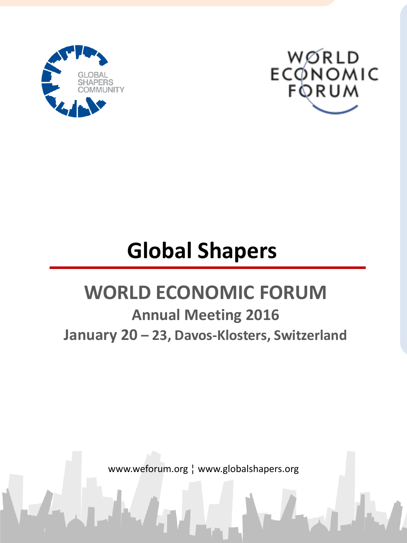



# **Global Shapers**

## **WORLD ECONOMIC FORUM**

**Annual Meeting 2016 January 20 – 23, Davos-Klosters, Switzerland**

www.weforum.org ¦ www.globalshapers.org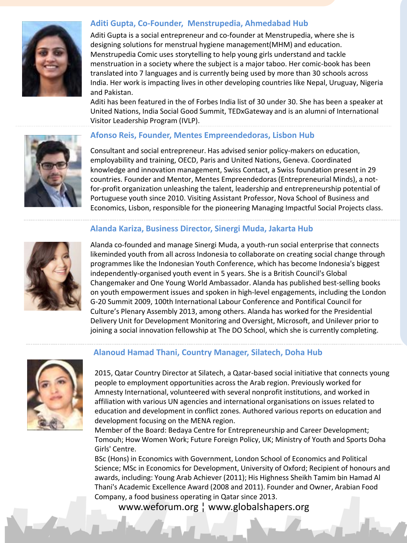

#### **Aditi Gupta, Co-Founder, Menstrupedia, Ahmedabad Hub**

Aditi Gupta is a social entrepreneur and co-founder at Menstrupedia, where she is designing solutions for menstrual hygiene management(MHM) and education. Menstrupedia Comic uses storytelling to help young girls understand and tackle menstruation in a society where the subject is a major taboo. Her comic-book has been translated into 7 languages and is currently being used by more than 30 schools across India. Her work is impacting lives in other developing countries like Nepal, Uruguay, Nigeria and Pakistan.

Aditi has been featured in the of Forbes India list of 30 under 30. She has been a speaker at United Nations, India Social Good Summit, TEDxGateway and is an alumni of International Visitor Leadership Program (IVLP).



#### **Afonso Reis, Founder, Mentes Empreendedoras, Lisbon Hub**

Consultant and social entrepreneur. Has advised senior policy-makers on education, employability and training, OECD, Paris and United Nations, Geneva. Coordinated knowledge and innovation management, Swiss Contact, a Swiss foundation present in 29 countries. Founder and Mentor, Mentes Empreendedoras(Entrepreneurial Minds), a notfor-profit organization unleashing the talent, leadership and entrepreneurship potential of Portuguese youth since 2010. Visiting Assistant Professor, Nova School of Business and Economics, Lisbon, responsible for the pioneering Managing Impactful Social Projects class.

#### **Alanda Kariza, Business Director, Sinergi Muda, Jakarta Hub**



Alanda co-founded and manage Sinergi Muda, a youth-run social enterprise that connects likeminded youth from all across Indonesia to collaborate on creating social change through programmes like the Indonesian Youth Conference, which has become Indonesia's biggest independently-organised youth event in 5 years. She is a British Council's Global Changemaker and One Young World Ambassador. Alanda has published best-selling books on youth empowerment issues and spoken in high-level engagements, including the London G-20 Summit 2009, 100th International Labour Conference and Pontifical Council for Culture's Plenary Assembly 2013, among others. Alanda has worked for the Presidential Delivery Unit for Development Monitoring and Oversight, Microsoft, and Unilever prior to joining a social innovation fellowship at The DO School, which she is currently completing.



#### **Alanoud Hamad Thani, Country Manager, Silatech, Doha Hub**

2015, Qatar Country Director at Silatech, a Qatar-based social initiative that connects young people to employment opportunities across the Arab region. Previously worked for Amnesty International, volunteered with several nonprofit institutions, and worked in affiliation with various UN agencies and international organisations on issues related to education and development in conflict zones. Authored various reports on education and development focusing on the MENA region.

Member of the Board: Bedaya Centre for Entrepreneurship and Career Development; Tomouh; How Women Work; Future Foreign Policy, UK; Ministry of Youth and Sports Doha Girls' Centre.

BSc (Hons) in Economics with Government, London School of Economics and Political Science; MSc in Economics for Development, University of Oxford; Recipient of honours and awards, including: Young Arab Achiever (2011); His Highness Sheikh Tamim bin Hamad Al Thani's Academic Excellence Award (2008 and 2011). Founder and Owner, Arabian Food Company, a food business operating in Qatar since 2013.

www.weforum.org ¦ www.globalshapers.org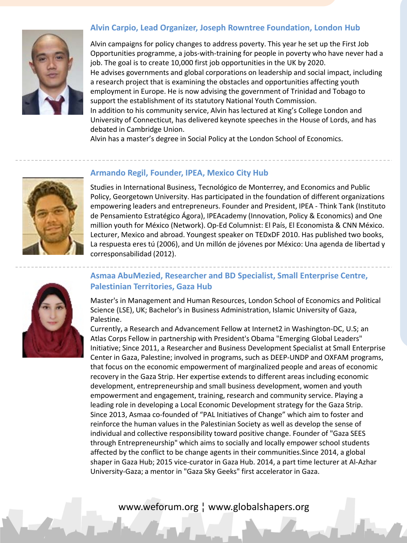#### **Alvin Carpio, Lead Organizer, Joseph Rowntree Foundation, London Hub**



Alvin campaigns for policy changes to address poverty. This year he set up the First Job Opportunities programme, a jobs-with-training for people in poverty who have never had a job. The goal is to create 10,000 first job opportunities in the UK by 2020. He advises governments and global corporations on leadership and social impact, including a research project that is examining the obstacles and opportunities affecting youth employment in Europe. He is now advising the government of Trinidad and Tobago to support the establishment of its statutory National Youth Commission. In addition to his community service, Alvin has lectured at King's College London and University of Connecticut, has delivered keynote speeches in the House of Lords, and has debated in Cambridge Union.

Alvin has a master's degree in Social Policy at the London School of Economics.



#### **Armando Regil, Founder, IPEA, Mexico City Hub**

Studies in International Business, Tecnológico de Monterrey, and Economics and Public Policy, Georgetown University. Has participated in the foundation of different organizations empowering leaders and entrepreneurs. Founder and President, IPEA - Think Tank (Instituto de Pensamiento Estratégico Ágora), IPEAcademy (Innovation, Policy & Economics) and One million youth for México (Network). Op-Ed Columnist: El País, El Economista & CNN México. Lecturer, Mexico and abroad. Youngest speaker on TEDxDF 2010. Has published two books, La respuesta eres tú (2006), and Un millón de jóvenes por México: Una agenda de libertad y corresponsabilidad (2012).

### **Asmaa AbuMezied, Researcher and BD Specialist, Small Enterprise Centre, Palestinian Territories, Gaza Hub**

Master's in Management and Human Resources, London School of Economics and Political Science (LSE), UK; Bachelor's in Business Administration, Islamic University of Gaza, Palestine.

Currently, a Research and Advancement Fellow at Internet2 in Washington-DC, U.S; an Atlas Corps Fellow in partnership with President's Obama "Emerging Global Leaders" Initiative; Since 2011, a Researcher and Business Development Specialist at Small Enterprise Center in Gaza, Palestine; involved in programs, such as DEEP-UNDP and OXFAM programs, that focus on the economic empowerment of marginalized people and areas of economic recovery in the Gaza Strip. Her expertise extends to different areas including economic development, entrepreneurship and small business development, women and youth empowerment and engagement, training, research and community service. Playing a leading role in developing a Local Economic Development strategy for the Gaza Strip. Since 2013, Asmaa co-founded of "PAL Initiatives of Change" which aim to foster and reinforce the human values in the Palestinian Society as well as develop the sense of individual and collective responsibility toward positive change. Founder of "Gaza SEES through Entrepreneurship" which aims to socially and locally empower school students affected by the conflict to be change agents in their communities.Since 2014, a global shaper in Gaza Hub; 2015 vice-curator in Gaza Hub. 2014, a part time lecturer at Al-Azhar University-Gaza; a mentor in "Gaza Sky Geeks" first accelerator in Gaza.

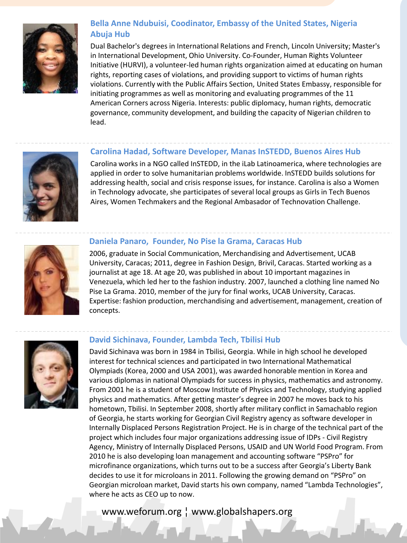

### **Bella Anne Ndubuisi, Coodinator, Embassy of the United States, Nigeria Abuja Hub**

Dual Bachelor's degrees in International Relations and French, Lincoln University; Master's in International Development, Ohio University. Co-Founder, Human Rights Volunteer Initiative (HURVI), a volunteer-led human rights organization aimed at educating on human rights, reporting cases of violations, and providing support to victims of human rights violations. Currently with the Public Affairs Section, United States Embassy, responsible for initiating programmes as well as monitoring and evaluating programmes of the 11 American Corners across Nigeria. Interests: public diplomacy, human rights, democratic governance, community development, and building the capacity of Nigerian children to lead.

#### **Carolina Hadad, Software Developer, Manas InSTEDD, Buenos Aires Hub**

Carolina works in a NGO called InSTEDD, in the iLab Latinoamerica, where technologies are applied in order to solve humanitarian problems worldwide. InSTEDD builds solutions for addressing health, social and crisis response issues, for instance. Carolina is also a Women in Technology advocate, she participates of several local groups as Girls in Tech Buenos Aires, Women Techmakers and the Regional Ambasador of Technovation Challenge.



#### **Daniela Panaro, Founder, No Pise la Grama, Caracas Hub**

2006, graduate in Social Communication, Merchandising and Advertisement, UCAB University, Caracas; 2011, degree in Fashion Design, Brivil, Caracas. Started working as a journalist at age 18. At age 20, was published in about 10 important magazines in Venezuela, which led her to the fashion industry. 2007, launched a clothing line named No Pise La Grama. 2010, member of the jury for final works, UCAB University, Caracas. Expertise: fashion production, merchandising and advertisement, management, creation of concepts.



#### **David Sichinava, Founder, Lambda Tech, Tbilisi Hub**

David Sichinava was born in 1984 in Tbilisi, Georgia. While in high school he developed interest for technical sciences and participated in two International Mathematical Olympiads (Korea, 2000 and USA 2001), was awarded honorable mention in Korea and various diplomas in national Olympiads for success in physics, mathematics and astronomy. From 2001 he is a student of Moscow Institute of Physics and Technology, studying applied physics and mathematics. After getting master's degree in 2007 he moves back to his hometown, Tbilisi. In September 2008, shortly after military conflict in Samachablo region of Georgia, he starts working for Georgian Civil Registry agency as software developer in Internally Displaced Persons Registration Project. He is in charge of the technical part of the project which includes four major organizations addressing issue of IDPs - Civil Registry Agency, Ministry of Internally Displaced Persons, USAID and UN World Food Program. From 2010 he is also developing loan management and accounting software "PSPro" for microfinance organizations, which turns out to be a success after Georgia's Liberty Bank decides to use it for microloans in 2011. Following the growing demand on "PSPro" on Georgian microloan market, David starts his own company, named "Lambda Technologies", where he acts as CEO up to now.

### www.weforum.org ¦ www.globalshapers.org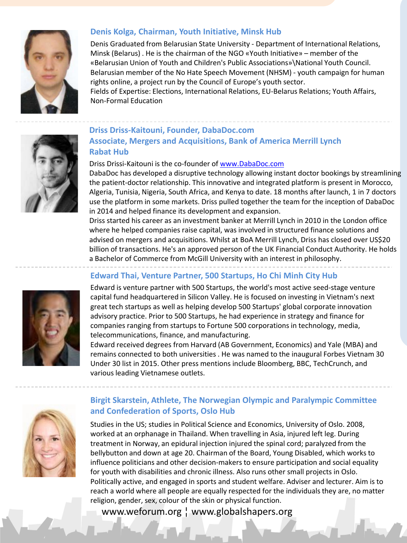

#### **Denis Kolga, Chairman, Youth Initiative, Minsk Hub**

Denis Graduated from Belarusian State University - Department of International Relations, Minsk (Belarus) . He is the chairman of the NGO «Youth Initiative» – member of the «Belarusian Union of Youth and Children's Public Associations»\National Youth Council. Belarusian member of the No Hate Speech Movement (NHSM) - youth campaign for human rights online, a project run by the Council of Europe's youth sector.

Fields of Expertise: Elections, International Relations, EU-Belarus Relations; Youth Affairs, Non-Formal Education



#### **Driss Driss-Kaitouni, Founder, DabaDoc.com Associate, Mergers and Acquisitions, Bank of America Merrill Lynch Rabat Hub**

#### Driss Drissi-Kaitouni is the co-founder of [www.DabaDoc.com](http://www.dabadoc.com/)

DabaDoc has developed a disruptive technology allowing instant doctor bookings by streamlining the patient-doctor relationship. This innovative and integrated platform is present in Morocco, Algeria, Tunisia, Nigeria, South Africa, and Kenya to date. 18 months after launch, 1 in 7 doctors use the platform in some markets. Driss pulled together the team for the inception of DabaDoc in 2014 and helped finance its development and expansion.

Driss started his career as an investment banker at Merrill Lynch in 2010 in the London office where he helped companies raise capital, was involved in structured finance solutions and advised on mergers and acquisitions. Whilst at BoA Merrill Lynch, Driss has closed over US\$20 billion of transactions. He's an approved person of the UK Financial Conduct Authority. He holds a Bachelor of Commerce from McGill University with an interest in philosophy.

#### **Edward Thai, Venture Partner, 500 Startups, Ho Chi Minh City Hub**

Edward is venture partner with 500 Startups, the world's most active seed-stage venture capital fund headquartered in Silicon Valley. He is focused on investing in Vietnam's next great tech startups as well as helping develop 500 Startups' global corporate innovation advisory practice. Prior to 500 Startups, he had experience in strategy and finance for companies ranging from startups to Fortune 500 corporations in technology, media, telecommunications, finance, and manufacturing.

Edward received degrees from Harvard (AB Government, Economics) and Yale (MBA) and remains connected to both universities . He was named to the inaugural Forbes Vietnam 30 Under 30 list in 2015. Other press mentions include Bloomberg, BBC, TechCrunch, and various leading Vietnamese outlets.



#### **Birgit Skarstein, Athlete, The Norwegian Olympic and Paralympic Committee and Confederation of Sports, Oslo Hub**

Studies in the US; studies in Political Science and Economics, University of Oslo. 2008, worked at an orphanage in Thailand. When travelling in Asia, injured left leg. During treatment in Norway, an epidural injection injured the spinal cord; paralyzed from the bellybutton and down at age 20. Chairman of the Board, Young Disabled, which works to influence politicians and other decision-makers to ensure participation and social equality for youth with disabilities and chronic illness. Also runs other small projects in Oslo. Politically active, and engaged in sports and student welfare. Adviser and lecturer. Aim is to reach a world where all people are equally respected for the individuals they are, no matter religion, gender, sex, colour of the skin or physical function.

### www.weforum.org ¦ www.globalshapers.org

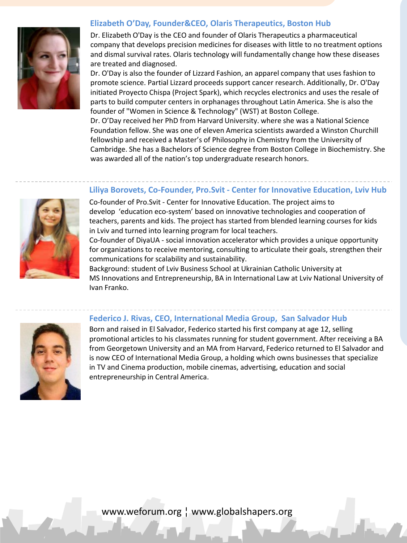#### **Elizabeth O'Day, Founder&CEO, Olaris Therapeutics, Boston Hub**



Dr. Elizabeth O'Day is the CEO and founder of Olaris Therapeutics a pharmaceutical company that develops precision medicines for diseases with little to no treatment options and dismal survival rates. Olaris technology will fundamentally change how these diseases are treated and diagnosed.

Dr. O'Day is also the founder of Lizzard Fashion, an apparel company that uses fashion to promote science. Partial Lizzard proceeds support cancer research. Additionally, Dr. O'Day initiated Proyecto Chispa (Project Spark), which recycles electronics and uses the resale of parts to build computer centers in orphanages throughout Latin America. She is also the founder of "Women in Science & Technology" (WST) at Boston College.

Dr. O'Day received her PhD from Harvard University. where she was a National Science Foundation fellow. She was one of eleven America scientists awarded a Winston Churchill fellowship and received a Master's of Philosophy in Chemistry from the University of Cambridge. She has a Bachelors of Science degree from Boston College in Biochemistry. She was awarded all of the nation's top undergraduate research honors.

#### **Liliya Borovets, Co-Founder, Pro.Svit - Center for Innovative Education, Lviv Hub**

Co-founder of Pro.Svit - Center for Innovative Education. The project aims to develop 'education eco-system' based on innovative technologies and cooperation of teachers, parents and kids. The project has started from blended learning courses for kids in Lviv and turned into learning program for local teachers.

Co-founder of DiyaUA - social innovation accelerator which provides a unique opportunity for organizations to receive mentoring, consulting to articulate their goals, strengthen their communications for scalability and sustainability.

Background: student of Lviv Business School at Ukrainian Catholic University at MS Innovations and Entrepreneurship, BA in International Law at Lviv National University of Ivan Franko.



#### **Federico J. Rivas, CEO, International Media Group, San Salvador Hub**

Born and raised in El Salvador, Federico started his first company at age 12, selling promotional articles to his classmates running for student government. After receiving a BA from Georgetown University and an MA from Harvard, Federico returned to El Salvador and is now CEO of International Media Group, a holding which owns businesses that specialize in TV and Cinema production, mobile cinemas, advertising, education and social entrepreneurship in Central America.

www.weforum.org ¦ www.globalshapers.org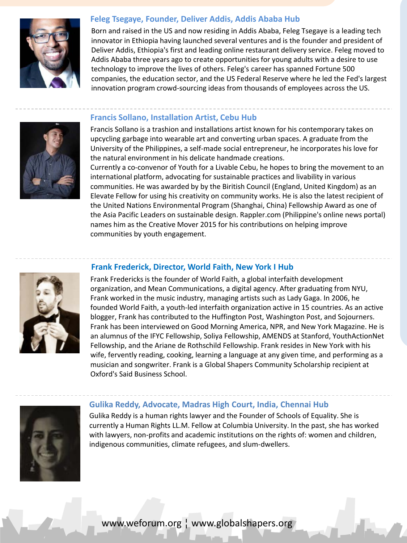

#### **Feleg Tsegaye, Founder, Deliver Addis, Addis Ababa Hub**

Born and raised in the US and now residing in Addis Ababa, Feleg Tsegaye is a leading tech innovator in Ethiopia having launched several ventures and is the founder and president of Deliver Addis, Ethiopia's first and leading online restaurant delivery service. Feleg moved to Addis Ababa three years ago to create opportunities for young adults with a desire to use technology to improve the lives of others. Feleg's career has spanned Fortune 500 companies, the education sector, and the US Federal Reserve where he led the Fed's largest innovation program crowd-sourcing ideas from thousands of employees across the US.

#### **Francis Sollano, Installation Artist, Cebu Hub**

Francis Sollano is a trashion and installations artist known for his contemporary takes on upcycling garbage into wearable art and converting urban spaces. A graduate from the University of the Philippines, a self-made social entrepreneur, he incorporates his love for the natural environment in his delicate handmade creations.

Currently a co-convenor of Youth for a Livable Cebu, he hopes to bring the movement to an international platform, advocating for sustainable practices and livability in various communities. He was awarded by by the Biritish Council (England, United Kingdom) as an Elevate Fellow for using his creativity on community works. He is also the latest recipient of the United Nations Environmental Program (Shanghai, China) Fellowship Award as one of the Asia Pacific Leaders on sustainable design. Rappler.com (Philippine's online news portal) names him as the Creative Mover 2015 for his contributions on helping improve communities by youth engagement.



#### **Frank Frederick, Director, World Faith, New York I Hub**

Frank Fredericks is the founder of World Faith, a global interfaith development organization, and Mean Communications, a digital agency. After graduating from NYU, Frank worked in the music industry, managing artists such as Lady Gaga. In 2006, he founded World Faith, a youth-led interfaith organization active in 15 countries. As an active blogger, Frank has contributed to the Huffington Post, Washington Post, and Sojourners. Frank has been interviewed on Good Morning America, NPR, and New York Magazine. He is an alumnus of the IFYC Fellowship, Soliya Fellowship, AMENDS at Stanford, YouthActionNet Fellowship, and the Ariane de Rothschild Fellowship. Frank resides in New York with his wife, fervently reading, cooking, learning a language at any given time, and performing as a musician and songwriter. Frank is a Global Shapers Community Scholarship recipient at Oxford's Said Business School.



#### **Gulika Reddy, Advocate, Madras High Court, India, Chennai Hub**

Gulika Reddy is a human rights lawyer and the Founder of Schools of Equality. She is currently a Human Rights LL.M. Fellow at Columbia University. In the past, she has worked with lawyers, non-profits and academic institutions on the rights of: women and children, indigenous communities, climate refugees, and slum-dwellers.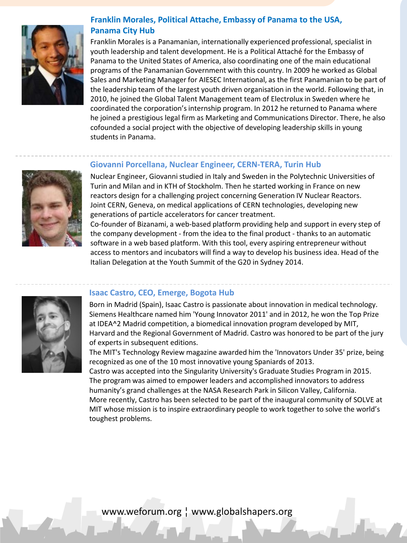

#### **Franklin Morales, Political Attache, Embassy of Panama to the USA, Panama City Hub**

Franklin Morales is a Panamanian, internationally experienced professional, specialist in youth leadership and talent development. He is a Political Attaché for the Embassy of Panama to the United States of America, also coordinating one of the main educational programs of the Panamanian Government with this country. In 2009 he worked as Global Sales and Marketing Manager for AIESEC International, as the first Panamanian to be part of the leadership team of the largest youth driven organisation in the world. Following that, in 2010, he joined the Global Talent Management team of Electrolux in Sweden where he coordinated the corporation's internship program. In 2012 he returned to Panama where he joined a prestigious legal firm as Marketing and Communications Director. There, he also cofounded a social project with the objective of developing leadership skills in young students in Panama.

#### **Giovanni Porcellana, Nuclear Engineer, CERN-TERA, Turin Hub**



Nuclear Engineer, Giovanni studied in Italy and Sweden in the Polytechnic Universities of Turin and Milan and in KTH of Stockholm. Then he started working in France on new reactors design for a challenging project concerning Generation IV Nuclear Reactors. Joint CERN, Geneva, on medical applications of CERN technologies, developing new generations of particle accelerators for cancer treatment.

Co-founder of Bizanami, a web-based platform providing help and support in every step of the company development - from the idea to the final product - thanks to an automatic software in a web based platform. With this tool, every aspiring entrepreneur without access to mentors and incubators will find a way to develop his business idea. Head of the Italian Delegation at the Youth Summit of the G20 in Sydney 2014.



#### **Isaac Castro, CEO, Emerge, Bogota Hub**

Born in Madrid (Spain), Isaac Castro is passionate about innovation in medical technology. Siemens Healthcare named him 'Young Innovator 2011' and in 2012, he won the Top Prize at IDEA^2 Madrid competition, a biomedical innovation program developed by MIT, Harvard and the Regional Government of Madrid. Castro was honored to be part of the jury of experts in subsequent editions.

The MIT's Technology Review magazine awarded him the 'Innovators Under 35' prize, being recognized as one of the 10 most innovative young Spaniards of 2013.

Castro was accepted into the Singularity University's Graduate Studies Program in 2015. The program was aimed to empower leaders and accomplished innovators to address humanity's grand challenges at the NASA Research Park in Silicon Valley, California. More recently, Castro has been selected to be part of the inaugural community of SOLVE at MIT whose mission is to inspire extraordinary people to work together to solve the world's toughest problems.

www.weforum.org ¦ www.globalshapers.org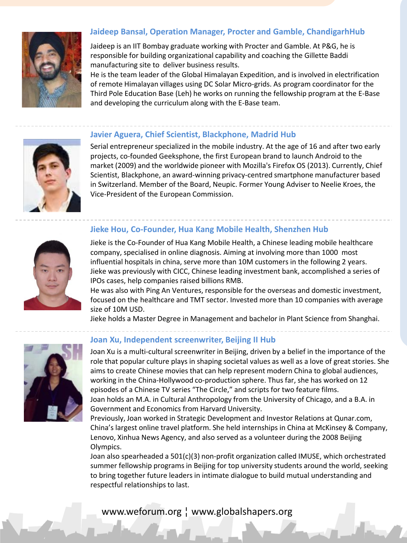

#### **Jaideep Bansal, Operation Manager, Procter and Gamble, ChandigarhHub**

Jaideep is an IIT Bombay graduate working with Procter and Gamble. At P&G, he is responsible for building organizational capability and coaching the Gillette Baddi manufacturing site to deliver business results.

He is the team leader of the Global Himalayan Expedition, and is involved in electrification of remote Himalayan villages using DC Solar Micro-grids. As program coordinator for the Third Pole Education Base (Leh) he works on running the fellowship program at the E-Base and developing the curriculum along with the E-Base team.



#### **Javier Aguera, Chief Scientist, Blackphone, Madrid Hub**

Serial entrepreneur specialized in the mobile industry. At the age of 16 and after two early projects, co-founded Geeksphone, the first European brand to launch Android to the market (2009) and the worldwide pioneer with Mozilla's Firefox OS (2013). Currently, Chief Scientist, Blackphone, an award-winning privacy-centred smartphone manufacturer based in Switzerland. Member of the Board, Neupic. Former Young Adviser to Neelie Kroes, the Vice-President of the European Commission.

#### **Jieke Hou, Co-Founder, Hua Kang Mobile Health, Shenzhen Hub**



Jieke is the Co-Founder of Hua Kang Mobile Health, a Chinese leading mobile healthcare company, specialised in online diagnosis. Aiming at involving more than 1000 most influential hospitals in china, serve more than 10M customers in the following 2 years. Jieke was previously with CICC, Chinese leading investment bank, accomplished a series of IPOs cases, help companies raised billions RMB.

He was also with Ping An Ventures, responsible for the overseas and domestic investment, focused on the healthcare and TMT sector. Invested more than 10 companies with average size of 10M USD.

Jieke holds a Master Degree in Management and bachelor in Plant Science from Shanghai.



#### **Joan Xu, Independent screenwriter, Beijing II Hub**

Joan Xu is a multi-cultural screenwriter in Beijing, driven by a belief in the importance of the role that popular culture plays in shaping societal values as well as a love of great stories. She aims to create Chinese movies that can help represent modern China to global audiences, working in the China-Hollywood co-production sphere. Thus far, she has worked on 12 episodes of a Chinese TV series "The Circle," and scripts for two feature films. Joan holds an M.A. in Cultural Anthropology from the University of Chicago, and a B.A. in Government and Economics from Harvard University.

Previously, Joan worked in Strategic Development and Investor Relations at Qunar.com, China's largest online travel platform. She held internships in China at McKinsey & Company, Lenovo, Xinhua News Agency, and also served as a volunteer during the 2008 Beijing Olympics.

Joan also spearheaded a 501(c)(3) non-profit organization called IMUSE, which orchestrated summer fellowship programs in Beijing for top university students around the world, seeking to bring together future leaders in intimate dialogue to build mutual understanding and respectful relationships to last.

leaders from around the world who meet to discuss necessary global policy changes.

### www.weforum.org ¦ www.globalshapers.org entitledelegation, a group of young of young of young young and young o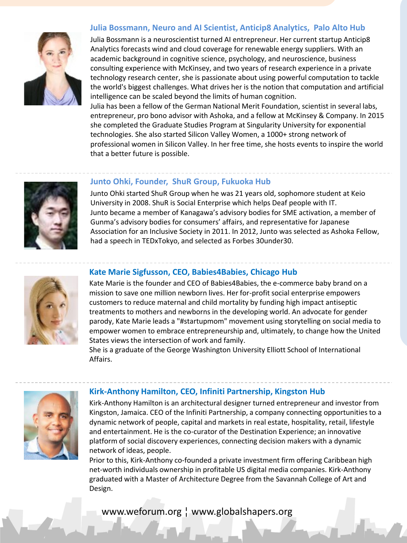#### **Julia Bossmann, Neuro and AI Scientist, Anticip8 Analytics, Palo Alto Hub**



Julia Bossmann is a neuroscientist turned AI entrepreneur. Her current startup Anticip8 Analytics forecasts wind and cloud coverage for renewable energy suppliers. With an academic background in cognitive science, psychology, and neuroscience, business consulting experience with McKinsey, and two years of research experience in a private technology research center, she is passionate about using powerful computation to tackle the world's biggest challenges. What drives her is the notion that computation and artificial intelligence can be scaled beyond the limits of human cognition.

Julia has been a fellow of the German National Merit Foundation, scientist in several labs, entrepreneur, pro bono advisor with Ashoka, and a fellow at McKinsey & Company. In 2015 she completed the Graduate Studies Program at Singularity University for exponential technologies. She also started Silicon Valley Women, a 1000+ strong network of professional women in Silicon Valley. In her free time, she hosts events to inspire the world that a better future is possible.



#### **Junto Ohki, Founder, ShuR Group, Fukuoka Hub**

Junto Ohki started ShuR Group when he was 21 years old, sophomore student at Keio University in 2008. ShuR is Social Enterprise which helps Deaf people with IT. Junto became a member of Kanagawa's advisory bodies for SME activation, a member of Gunma's advisory bodies for consumers' affairs, and representative for Japanese Association for an Inclusive Society in 2011. In 2012, Junto was selected as Ashoka Fellow, had a speech in TEDxTokyo, and selected as Forbes 30under30.



#### **Kate Marie Sigfusson, CEO, Babies4Babies, Chicago Hub**

Kate Marie is the founder and CEO of Babies4Babies, the e-commerce baby brand on a mission to save one million newborn lives. Her for-profit social enterprise empowers customers to reduce maternal and child mortality by funding high impact antiseptic treatments to mothers and newborns in the developing world. An advocate for gender parody, Kate Marie leads a "#startupmom" movement using storytelling on social media to empower women to embrace entrepreneurship and, ultimately, to change how the United States views the intersection of work and family.

She is a graduate of the George Washington University Elliott School of International Affairs.



#### **Kirk-Anthony Hamilton, CEO, Infiniti Partnership, Kingston Hub**

Kirk-Anthony Hamilton is an architectural designer turned entrepreneur and investor from Kingston, Jamaica. CEO of the Infiniti Partnership, a company connecting opportunities to a dynamic network of people, capital and markets in real estate, hospitality, retail, lifestyle and entertainment. He is the co-curator of the Destination Experience; an innovative platform of social discovery experiences, connecting decision makers with a dynamic network of ideas, people.

Prior to this, Kirk-Anthony co-founded a private investment firm offering Caribbean high net-worth individuals ownership in profitable US digital media companies. Kirk-Anthony graduated with a Master of Architecture Degree from the Savannah College of Art and Design.

www.weforum.org ¦ www.globalshapers.org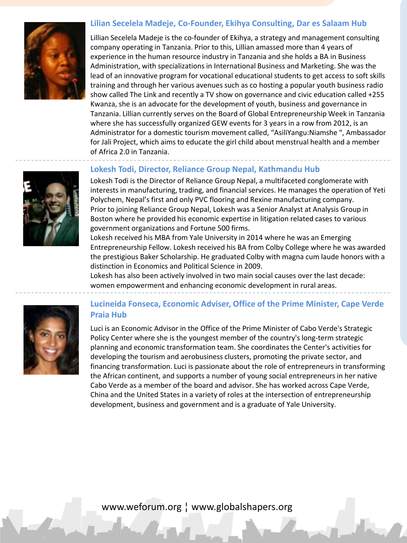#### **Lilian Secelela Madeje, Co-Founder, Ekihya Consulting, Dar es Salaam Hub**



Lillian Secelela Madeje is the co-founder of Ekihya, a strategy and management consulting company operating in Tanzania. Prior to this, Lillian amassed more than 4 years of experience in the human resource industry in Tanzania and she holds a BA in Business Administration, with specializations in International Business and Marketing. She was the lead of an innovative program for vocational educational students to get access to soft skills training and through her various avenues such as co hosting a popular youth business radio show called The Link and recently a TV show on governance and civic education called +255 Kwanza, she is an advocate for the development of youth, business and governance in Tanzania. Lillian currently serves on the Board of Global Entrepreneurship Week in Tanzania where she has successfully organized GEW events for 3 years in a row from 2012, is an Administrator for a domestic tourism movement called, "AsiliYangu:Niamshe ", Ambassador for Jali Project, which aims to educate the girl child about menstrual health and a member of Africa 2.0 in Tanzania.

#### **Lokesh Todi, Director, Reliance Group Nepal, Kathmandu Hub**

Lokesh Todi is the Director of Reliance Group Nepal, a multifaceted conglomerate with interests in manufacturing, trading, and financial services. He manages the operation of Yeti Polychem, Nepal's first and only PVC flooring and Rexine manufacturing company. Prior to joining Reliance Group Nepal, Lokesh was a Senior Analyst at Analysis Group in Boston where he provided his economic expertise in litigation related cases to various government organizations and Fortune 500 firms.

Lokesh received his MBA from Yale University in 2014 where he was an Emerging Entrepreneurship Fellow. Lokesh received his BA from Colby College where he was awarded the prestigious Baker Scholarship. He graduated Colby with magna cum laude honors with a distinction in Economics and Political Science in 2009.

Lokesh has also been actively involved in two main social causes over the last decade: women empowerment and enhancing economic development in rural areas.



#### **Lucineida Fonseca, Economic Adviser, Office of the Prime Minister, Cape Verde Praia Hub**

Luci is an Economic Advisor in the Office of the Prime Minister of Cabo Verde's Strategic Policy Center where she is the youngest member of the country's long-term strategic planning and economic transformation team. She coordinates the Center's activities for developing the tourism and aerobusiness clusters, promoting the private sector, and financing transformation. Luci is passionate about the role of entrepreneurs in transforming the African continent, and supports a number of young social entrepreneurs in her native Cabo Verde as a member of the board and advisor. She has worked across Cape Verde, China and the United States in a variety of roles at the intersection of entrepreneurship development, business and government and is a graduate of Yale University.

www.weforum.org ¦ www.globalshapers.org

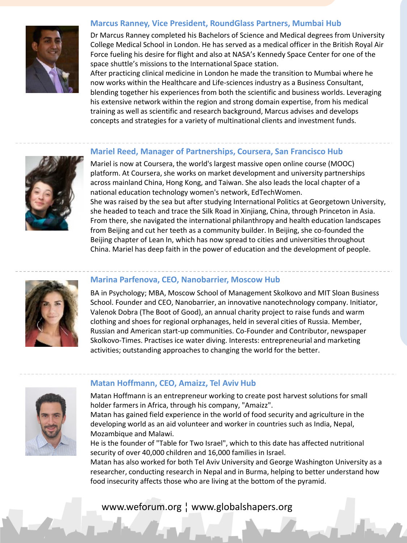#### **Marcus Ranney, Vice President, RoundGlass Partners, Mumbai Hub**



Dr Marcus Ranney completed his Bachelors of Science and Medical degrees from University College Medical School in London. He has served as a medical officer in the British Royal Air Force fueling his desire for flight and also at NASA's Kennedy Space Center for one of the space shuttle's missions to the International Space station.

After practicing clinical medicine in London he made the transition to Mumbai where he now works within the Healthcare and Life-sciences industry as a Business Consultant, blending together his experiences from both the scientific and business worlds. Leveraging his extensive network within the region and strong domain expertise, from his medical training as well as scientific and research background, Marcus advises and develops concepts and strategies for a variety of multinational clients and investment funds.

#### **Mariel Reed, Manager of Partnerships, Coursera, San Francisco Hub**



Mariel is now at Coursera, the world's largest massive open online course (MOOC) platform. At Coursera, she works on market development and university partnerships across mainland China, Hong Kong, and Taiwan. She also leads the local chapter of a national education technology women's network, EdTechWomen. She was raised by the sea but after studying International Politics at Georgetown University,

she headed to teach and trace the Silk Road in Xinjiang, China, through Princeton in Asia. From there, she navigated the international philanthropy and health education landscapes from Beijing and cut her teeth as a community builder. In Beijing, she co-founded the Beijing chapter of Lean In, which has now spread to cities and universities throughout China. Mariel has deep faith in the power of education and the development of people.



#### **Marina Parfenova, CEO, Nanobarrier, Moscow Hub**

BA in Psychology; MBA, Moscow School of Management Skolkovo and MIT Sloan Business School. Founder and CEO, Nanobarrier, an innovative nanotechnology company. Initiator, Valenok Dobra (The Boot of Good), an annual charity project to raise funds and warm clothing and shoes for regional orphanages, held in several cities of Russia. Member, Russian and American start-up communities. Co-Founder and Contributor, newspaper Skolkovo-Times. Practises ice water diving. Interests: entrepreneurial and marketing activities; outstanding approaches to changing the world for the better.



#### **Matan Hoffmann, CEO, Amaizz, Tel Aviv Hub**

Matan Hoffmann is an entrepreneur working to create post harvest solutions for small holder farmers in Africa, through his company, "Amaizz".

Matan has gained field experience in the world of food security and agriculture in the developing world as an aid volunteer and worker in countries such as India, Nepal, Mozambique and Malawi.

He is the founder of "Table for Two Israel", which to this date has affected nutritional security of over 40,000 children and 16,000 families in Israel.

Matan has also worked for both Tel Aviv University and George Washington University as a researcher, conducting research in Nepal and in Burma, helping to better understand how food insecurity affects those who are living at the bottom of the pyramid.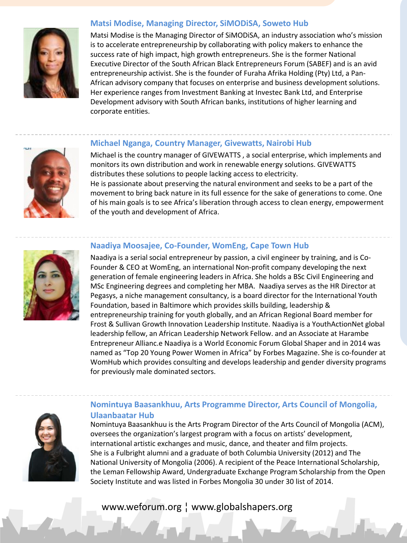

#### **Matsi Modise, Managing Director, SiMODiSA, Soweto Hub**

Matsi Modise is the Managing Director of SiMODiSA, an industry association who's mission is to accelerate entrepreneurship by collaborating with policy makers to enhance the success rate of high impact, high growth entrepreneurs. She is the former National Executive Director of the South African Black Entrepreneurs Forum (SABEF) and is an avid entrepreneurship activist. She is the founder of Furaha Afrika Holding (Pty) Ltd, a Pan-African advisory company that focuses on enterprise and business development solutions. Her experience ranges from Investment Banking at Investec Bank Ltd, and Enterprise Development advisory with South African banks, institutions of higher learning and corporate entities.

#### **Michael Nganga, Country Manager, Givewatts, Nairobi Hub**



Michael is the country manager of GIVEWATTS , a social enterprise, which implements and monitors its own distribution and work in renewable energy solutions. GIVEWATTS distributes these solutions to people lacking access to electricity. He is passionate about preserving the natural environment and seeks to be a part of the movement to bring back nature in its full essence for the sake of generations to come. One of his main goals is to see Africa's liberation through access to clean energy, empowerment of the youth and development of Africa.

#### **Naadiya Moosajee, Co-Founder, WomEng, Cape Town Hub**

Naadiya is a serial social entrepreneur by passion, a civil engineer by training, and is Co-Founder & CEO at WomEng, an international Non-profit company developing the next generation of female engineering leaders in Africa. She holds a BSc Civil Engineering and MSc Engineering degrees and completing her MBA. Naadiya serves as the HR Director at Pegasys, a niche management consultancy, is a board director for the International Youth Foundation, based in Baltimore which provides skills building, leadership & entrepreneurship training for youth globally, and an African Regional Board member for Frost & Sullivan Growth Innovation Leadership Institute. Naadiya is a YouthActionNet global leadership fellow, an African Leadership Network Fellow. and an Associate at Harambe Entrepreneur Allianc.e Naadiya is a World Economic Forum Global Shaper and in 2014 was named as "Top 20 Young Power Women in Africa" by Forbes Magazine. She is co-founder at WomHub which provides consulting and develops leadership and gender diversity programs for previously male dominated sectors.



#### **Nomintuya Baasankhuu, Arts Programme Director, Arts Council of Mongolia, Ulaanbaatar Hub**

Nomintuya Baasankhuu is the Arts Program Director of the Arts Council of Mongolia (ACM), oversees the organization's largest program with a focus on artists' development, international artistic exchanges and music, dance, and theater and film projects. She is a Fulbright alumni and a graduate of both Columbia University (2012) and The National University of Mongolia (2006). A recipient of the Peace International Scholarship, the Leman Fellowship Award, Undergraduate Exchange Program Scholarship from the Open Society Institute and was listed in Forbes Mongolia 30 under 30 list of 2014.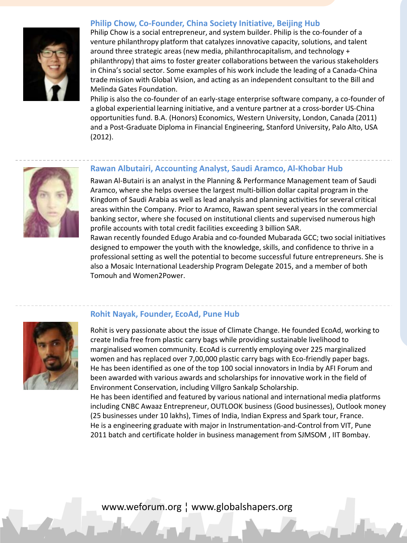

#### **Philip Chow, Co-Founder, China Society Initiative, Beijing Hub**

Philip Chow is a social entrepreneur, and system builder. Philip is the co-founder of a venture philanthropy platform that catalyzes innovative capacity, solutions, and talent around three strategic areas (new media, philanthrocapitalism, and technology + philanthropy) that aims to foster greater collaborations between the various stakeholders in China's social sector. Some examples of his work include the leading of a Canada-China trade mission with Global Vision, and acting as an independent consultant to the Bill and Melinda Gates Foundation.

Philip is also the co-founder of an early-stage enterprise software company, a co-founder of a global experiential learning initiative, and a venture partner at a cross-border US-China opportunities fund. B.A. (Honors) Economics, Western University, London, Canada (2011) and a Post-Graduate Diploma in Financial Engineering, Stanford University, Palo Alto, USA (2012).



#### **Rawan Albutairi, Accounting Analyst, Saudi Aramco, Al-Khobar Hub**

Rawan Al-Butairi is an analyst in the Planning & Performance Management team of Saudi Aramco, where she helps oversee the largest multi-billion dollar capital program in the Kingdom of Saudi Arabia as well as lead analysis and planning activities for several critical areas within the Company. Prior to Aramco, Rawan spent several years in the commercial banking sector, where she focused on institutional clients and supervised numerous high profile accounts with total credit facilities exceeding 3 billion SAR.

Rawan recently founded Edugo Arabia and co-founded Mubarada GCC; two social initiatives designed to empower the youth with the knowledge, skills, and confidence to thrive in a professional setting as well the potential to become successful future entrepreneurs. She is also a Mosaic International Leadership Program Delegate 2015, and a member of both Tomouh and Women2Power.



#### **Rohit Nayak, Founder, EcoAd, Pune Hub**

Rohit is very passionate about the issue of Climate Change. He founded EcoAd, working to create India free from plastic carry bags while providing sustainable livelihood to marginalised women community. EcoAd is currently employing over 225 marginalized women and has replaced over 7,00,000 plastic carry bags with Eco-friendly paper bags. He has been identified as one of the top 100 social innovators in India by AFI Forum and been awarded with various awards and scholarships for innovative work in the field of Environment Conservation, including Villgro Sankalp Scholarship.

He has been identified and featured by various national and international media platforms including CNBC Awaaz Entrepreneur, OUTLOOK business (Good businesses), Outlook money (25 businesses under 10 lakhs), Times of India, Indian Express and Spark tour, France. He is a engineering graduate with major in Instrumentation-and-Control from VIT, Pune 2011 batch and certificate holder in business management from SJMSOM , IIT Bombay.